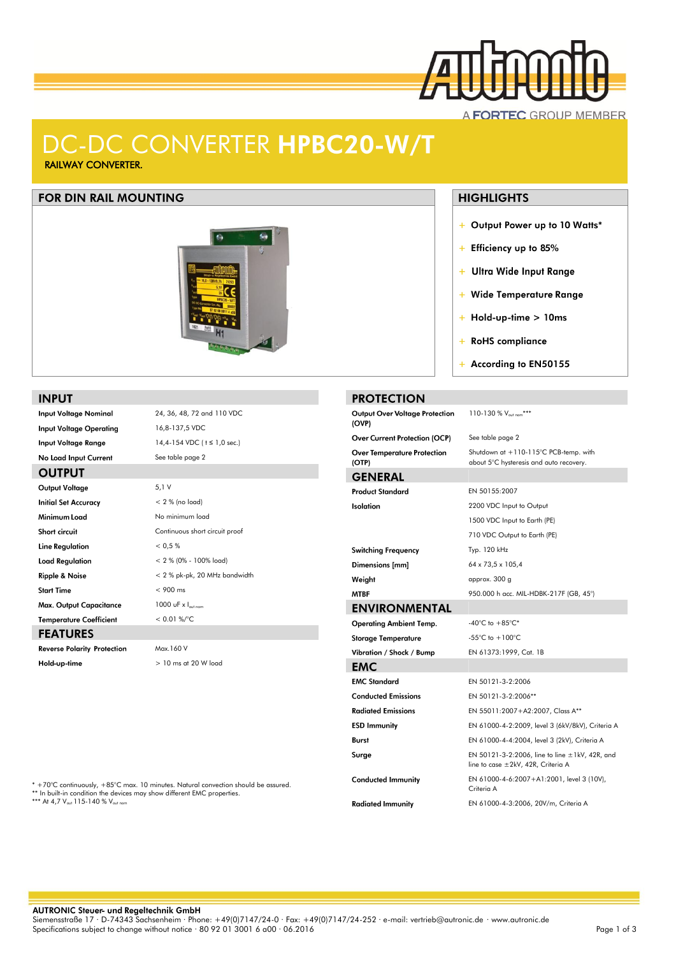

# DC-DC CONVERTER HPBC20-W/T RAILWAY CONVERTER.

## **FOR DIN RAIL MOUNTING**



#### **INPUT**

**OUTPUT** 

**Input Voltage Nominal Input Voltage Operating Input Voltage Range** 

### 14,4-154 VDC ( t ≤ 1,0 sec.) No Load Input Current See table page 2

| Output Voltage                     | 5,1V                                |
|------------------------------------|-------------------------------------|
| <b>Initial Set Accuracy</b>        | $< 2 %$ (no load)                   |
| Minimum Load                       | No minimum load                     |
| Short circuit                      | Continuous short circuit proof      |
| Line Regulation                    | < 0.5 %                             |
| <b>Load Regulation</b>             | $< 2 \% (0\% - 100\% \text{ load})$ |
| <b>Ripple &amp; Noise</b>          | < 2 % pk-pk, 20 MHz bandwidth       |
| <b>Start Time</b>                  | $< 900$ ms                          |
| Max. Output Capacitance            | 1000 uF $\times$ $\sim$             |
| <b>Temperature Coefficient</b>     | $< 0.01 %$ %/ $oC$                  |
| <b>FEATURES</b>                    |                                     |
| <b>Reverse Polarity Protection</b> | Max.160 V                           |
| Hold-up-time                       | $>10$ ms at 20 W load               |

24, 36, 48, 72 and 110 VDC

16,8-137,5 VDC

## **HIGHLIGHTS**

- + Output Power up to 10 Watts\*
- + Efficiency up to 85%
- + Ultra Wide Input Range
- + Wide Temperature Range
- $+$  Hold-up-time > 10ms
- + RoHS compliance

 $110-130$  %  $V_{\text{out}}$ \*\*\*

+ According to EN50155

#### **PROTECTION Output Over Voltage Protection**

| (OVP)                                             |                                                                                           |
|---------------------------------------------------|-------------------------------------------------------------------------------------------|
| <b>Over Current Protection (OCP)</b>              | See table page 2                                                                          |
| <b>Over Temperature Protection</b><br>$($ OTP $)$ | Shutdown at $+110-115$ °C PCB-temp, with<br>about 5°C hysteresis and auto recovery.       |
| <b>GENERAL</b>                                    |                                                                                           |
| <b>Product Standard</b>                           | EN 50155:2007                                                                             |
| Isolation                                         | 2200 VDC Input to Output                                                                  |
|                                                   | 1500 VDC Input to Earth (PE)                                                              |
|                                                   | 710 VDC Output to Earth (PE)                                                              |
| <b>Switching Frequency</b>                        | Typ. 120 kHz                                                                              |
| Dimensions [mm]                                   | 64 x 73,5 x 105,4                                                                         |
| Weight                                            | approx. 300 g                                                                             |
| <b>MTBF</b>                                       | 950.000 h acc. MIL-HDBK-217F (GB, 45°)                                                    |
| <b>ENVIRONMENTAL</b>                              |                                                                                           |
| <b>Operating Ambient Temp.</b>                    | -40°C to $+85^{\circ}$ C*                                                                 |
| <b>Storage Temperature</b>                        | -55°C to $+100$ °C                                                                        |
| Vibration / Shock / Bump                          | EN 61373:1999, Cat. 1B                                                                    |
| <b>EMC</b>                                        |                                                                                           |
| <b>EMC Standard</b>                               | EN 50121-3-2:2006                                                                         |
| <b>Conducted Emissions</b>                        | EN 50121-3-2:2006**                                                                       |
| <b>Radiated Emissions</b>                         | EN 55011:2007+A2:2007, Class A**                                                          |
| <b>ESD Immunity</b>                               | EN 61000-4-2:2009, level 3 (6kV/8kV), Criteria A                                          |
| Burst                                             | EN 61000-4-4:2004, level 3 (2kV), Criteria A                                              |
| Surge                                             | EN 50121-3-2:2006, line to line $\pm$ 1kV, 42R, and<br>line to case ±2kV, 42R, Criteria A |
| <b>Conducted Immunity</b>                         | EN 61000-4-6:2007+A1:2001, level 3 (10V),<br>Criteria A                                   |
| <b>Radiated Immunity</b>                          | EN 61000-4-3:2006, 20V/m, Criteria A                                                      |

\* +70°C continuously, +85°C max. 10 minutes. Natural convection should be assured.<br>\*\* In built-in condition the devices may show different EMC properties.<br>\*\*\* At 4,7 V<sub>ou</sub>t 115-140 % V<sub>outnom</sub>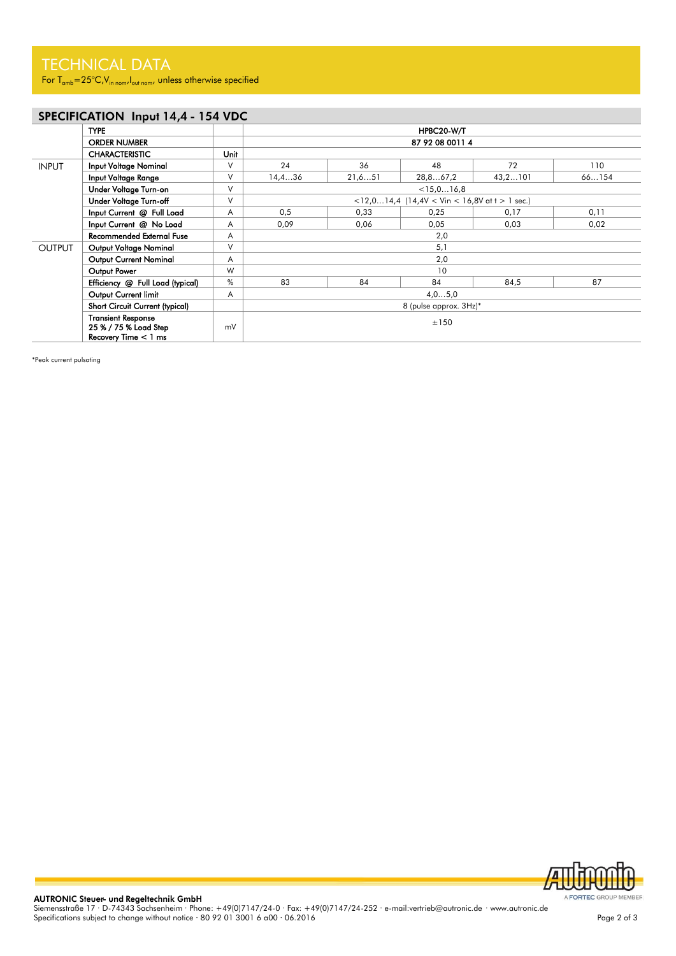For  $T_{amb} = 25^{\circ}C$ , V<sub>in nom</sub>, I<sub>out nom</sub>, unless otherwise specified

# SPECIFICATION Input 14,4 - 154 VDC

|                      | <b>TYPE</b>                                                                  |      | HPBC20-W/T                                    |         |          |         |       |
|----------------------|------------------------------------------------------------------------------|------|-----------------------------------------------|---------|----------|---------|-------|
|                      | <b>ORDER NUMBER</b>                                                          |      | 87 92 08 0011 4                               |         |          |         |       |
|                      | <b>CHARACTERISTIC</b>                                                        | Unit |                                               |         |          |         |       |
| <b>INPUT</b>         | <b>Input Voltage Nominal</b>                                                 | V    | 24                                            | 36      | 48       | 72      | 110   |
|                      | Input Voltage Range                                                          | V    | 14,436                                        | 21, 651 | 28,867,2 | 43,2101 | 66154 |
|                      | Under Voltage Turn-on                                                        | V    | < 15, 016, 8                                  |         |          |         |       |
|                      | Under Voltage Turn-off                                                       | V    | <12,014,4 (14,4V < Vin < 16,8V at t > 1 sec.) |         |          |         |       |
|                      | Input Current @ Full Load                                                    | Α    | 0,5                                           | 0,33    | 0,25     | 0,17    | 0,11  |
|                      | Input Current @ No Load                                                      | A    | 0,09                                          | 0,06    | 0,05     | 0,03    | 0,02  |
|                      | <b>Recommended External Fuse</b>                                             | Α    | 2,0                                           |         |          |         |       |
| <b>OUTPUT</b>        | Output Voltage Nominal                                                       | V    | 5,1                                           |         |          |         |       |
|                      | Output Current Nominal                                                       | Α    | 2,0                                           |         |          |         |       |
|                      | Output Power                                                                 | W    | 10                                            |         |          |         |       |
|                      | Efficiency @ Full Load (typical)                                             | %    | 83                                            | 84      | 84       | 84,5    | 87    |
| Output Current limit |                                                                              |      | 4,05,0                                        |         |          |         |       |
|                      | Short Circuit Current (typical)                                              |      | 8 (pulse approx. 3Hz)*                        |         |          |         |       |
|                      | <b>Transient Response</b><br>25 % / 75 % Load Step<br>Recovery Time $<$ 1 ms | mV   | ±150                                          |         |          |         |       |

\*Peak current pulsating